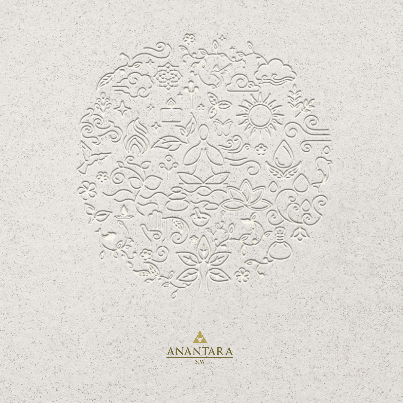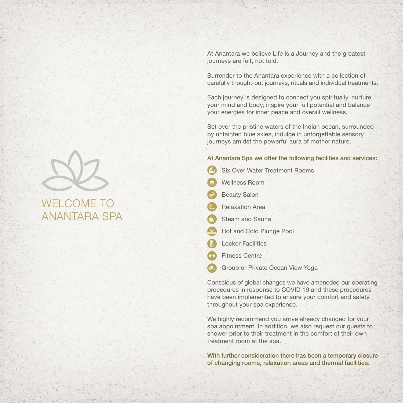At Anantara we believe Life is a Journey and the greatest journeys are felt, not told.

Surrender to the Anantara experience with a collection of carefully thought-out journeys, rituals and individual treatments.

Each journey is designed to connect you spiritually, nurture your mind and body, inspire your full potential and balance your energies for inner peace and overall wellness.

Set over the pristine waters of the Indian ocean, surrounded by untainted blue skies, indulge in unforgettable sensory journeys amidst the powerful aura of mother nature.

#### At Anantara Spa we offer the following facilities and services:

- Six Over Water Treatment Rooms
- Wellness Room
- Beauty Salon
- Relaxation Area
- Steam and Sauna
- **Hot and Cold Plunge Pool**
- **Locker Facilities**
- Fitness Centre
- Group or Private Ocean View Yoga

Conscious of global changes we have ameneded our operating procedures in response to COVID 19 and these procedures have been implemented to ensure your comfort and safety throughout your spa experience.

We highly recommend you arrive already changed for your spa appointment. In addition, we also request our guests to shower prior to their treatment in the comfort of their own treatment room at the spa.

With further consideration there has been a temporary closure of changing rooms, relaxation areas and thermal facilities.



# ANANTARA SPA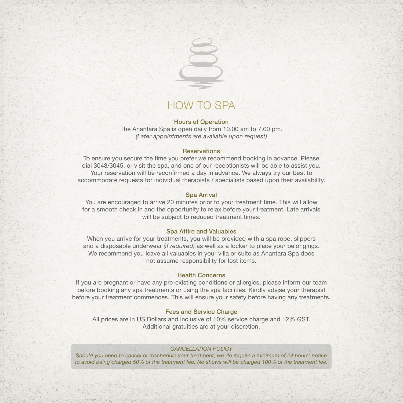

# HOW TO SPA

#### Hours of Operation

The Anantara Spa is open daily from 10.00 am to 7.00 pm. *(Later appointments are available upon request)*

#### **Reservations**

To ensure you secure the time you prefer we recommend booking in advance. Please dial 3043/3045, or visit the spa, and one of our receptionists will be able to assist you. Your reservation will be reconfirmed a day in advance. We always try our best to accommodate requests for individual therapists / specialists based upon their availability.

#### Spa Arrival

You are encouraged to arrive 20 minutes prior to your treatment time. This will allow for a smooth check in and the opportunity to relax before your treatment. Late arrivals will be subject to reduced treatment times.

#### Spa Attire and Valuables

When you arrive for your treatments, you will be provided with a spa robe, slippers and a disposable underwear *(if required)* as well as a locker to place your belongings. We recommend you leave all valuables in your villa or suite as Anantara Spa does not assume responsibility for lost items.

#### Health Concerns

If you are pregnant or have any pre-existing conditions or allergies, please inform our team before booking any spa treatments or using the spa facilities. Kindly advise your therapist before your treatment commences. This will ensure your safety before having any treatments.

#### Fees and Service Charge

All prices are in US Dollars and inclusive of 10% service charge and 12% GST. Additional gratuities are at your discretion.

#### *CANCELLATION POLICY*

*Should you need to cancel or reschedule your treatment, we do require a minimum of 24 hours' notice to avoid being charged 50% of the treatment fee. No shows will be charged 100% of the treatment fee.*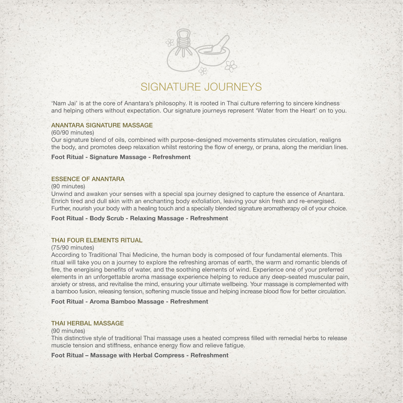

# SIGNATURE JOURNEYS

'Nam Jai' is at the core of Anantara's philosophy. It is rooted in Thai culture referring to sincere kindness and helping others without expectation. Our signature journeys represent 'Water from the Heart' on to you.

#### ANANTARA SIGNATURE MASSAGE

#### (60/90 minutes)

Our signature blend of oils, combined with purpose-designed movements stimulates circulation, realigns the body, and promotes deep relaxation whilst restoring the flow of energy, or prana, along the meridian lines.

#### **Foot Ritual - Signature Massage - Refreshment**

#### ESSENCE OF ANANTARA

#### (90 minutes)

Unwind and awaken your senses with a special spa journey designed to capture the essence of Anantara. Enrich tired and dull skin with an enchanting body exfoliation, leaving your skin fresh and re-energised. Further, nourish your body with a healing touch and a specially blended signature aromatherapy oil of your choice.

**Foot Ritual - Body Scrub - Relaxing Massage - Refreshment**

#### THAI FOUR ELEMENTS RITUAL

#### (75/90 minutes)

According to Traditional Thai Medicine, the human body is composed of four fundamental elements. This ritual will take you on a journey to explore the refreshing aromas of earth, the warm and romantic blends of fire, the energising benefits of water, and the soothing elements of wind. Experience one of your preferred elements in an unforgettable aroma massage experience helping to reduce any deep-seated muscular pain, anxiety or stress, and revitalise the mind, ensuring your ultimate wellbeing. Your massage is complemented with a bamboo fusion, releasing tension, softening muscle tissue and helping increase blood flow for better circulation.

**Foot Ritual - Aroma Bamboo Massage - Refreshment**

#### THAI HERBAL MASSAGE

#### (90 minutes)

This distinctive style of traditional Thai massage uses a heated compress filled with remedial herbs to release muscle tension and stiffness, enhance energy flow and relieve fatigue.

**Foot Ritual – Massage with Herbal Compress - Refreshment**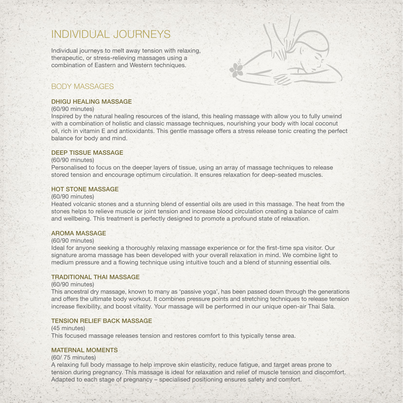# INDIVIDUAL JOURNEYS

Individual journeys to melt away tension with relaxing, therapeutic, or stress-relieving massages using a combination of Eastern and Western techniques.



### BODY MASSAGES

#### DHIGU HEALING MASSAGE

#### (60/90 minutes)

Inspired by the natural healing resources of the island, this healing massage with allow you to fully unwind with a combination of holistic and classic massage techniques, nourishing your body with local coconut oil, rich in vitamin E and antioxidants. This gentle massage offers a stress release tonic creating the perfect balance for body and mind.

#### DEEP TISSUE MASSAGE

#### (60/90 minutes)

Personalised to focus on the deeper layers of tissue, using an array of massage techniques to release stored tension and encourage optimum circulation. It ensures relaxation for deep-seated muscles.

#### HOT STONE MASSAGE

#### (60/90 minutes)

Heated volcanic stones and a stunning blend of essential oils are used in this massage. The heat from the stones helps to relieve muscle or joint tension and increase blood circulation creating a balance of calm and wellbeing. This treatment is perfectly designed to promote a profound state of relaxation.

#### AROMA MASSAGE

#### (60/90 minutes)

Ideal for anyone seeking a thoroughly relaxing massage experience or for the first-time spa visitor. Our signature aroma massage has been developed with your overall relaxation in mind. We combine light to medium pressure and a flowing technique using intuitive touch and a blend of stunning essential oils.

#### TRADITIONAL THAI MASSAGE

#### (60/90 minutes)

This ancestral dry massage, known to many as 'passive yoga', has been passed down through the generations and offers the ultimate body workout. It combines pressure points and stretching techniques to release tension increase flexibility, and boost vitality. Your massage will be performed in our unique open-air Thai Sala.

#### TENSION RELIEF BACK MASSAGE

(45 minutes) This focused massage releases tension and restores comfort to this typically tense area.

#### MATERNAL MOMENTS

#### (60/ 75 minutes)

A relaxing full body massage to help improve skin elasticity, reduce fatigue, and target areas prone to tension during pregnancy. This massage is ideal for relaxation and relief of muscle tension and discomfort. Adapted to each stage of pregnancy – specialised positioning ensures safety and comfort.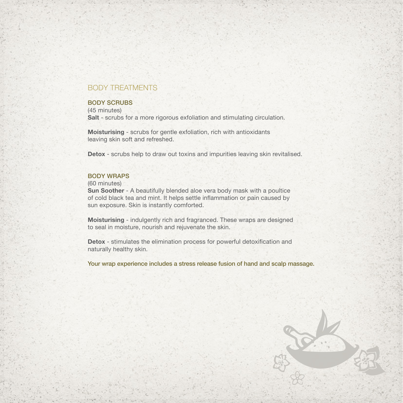## BODY TREATMENTS

#### BODY SCRUBS

(45 minutes) **Salt** - scrubs for a more rigorous exfoliation and stimulating circulation.

**Moisturising** - scrubs for gentle exfoliation, rich with antioxidants leaving skin soft and refreshed.

**Detox** - scrubs help to draw out toxins and impurities leaving skin revitalised.

#### BODY WRAPS

(60 minutes)

**Sun Soother** - A beautifully blended aloe vera body mask with a poultice of cold black tea and mint. It helps settle inflammation or pain caused by sun exposure. Skin is instantly comforted.

**Moisturising** - indulgently rich and fragranced. These wraps are designed to seal in moisture, nourish and rejuvenate the skin.

**Detox** - stimulates the elimination process for powerful detoxification and naturally healthy skin.

Your wrap experience includes a stress release fusion of hand and scalp massage.

SPERING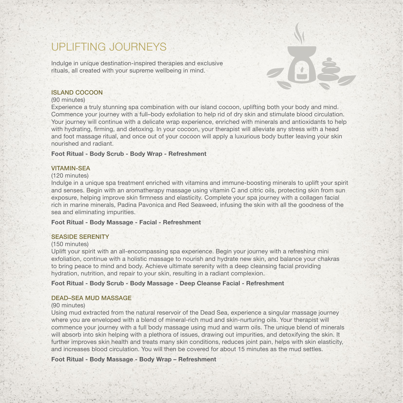# UPLIFTING JOURNEYS

Indulge in unique destination-inspired therapies and exclusive rituals, all created with your supreme wellbeing in mind.

#### ISLAND COCOON

#### (90 minutes)

Experience a truly stunning spa combination with our island cocoon, uplifting both your body and mind. Commence your journey with a full–body exfoliation to help rid of dry skin and stimulate blood circulation. Your journey will continue with a delicate wrap experience, enriched with minerals and antioxidants to help with hydrating, firming, and detoxing. In your cocoon, your therapist will alleviate any stress with a head and foot massage ritual, and once out of your cocoon will apply a luxurious body butter leaving your skin nourished and radiant.

#### **Foot Ritual - Body Scrub - Body Wrap - Refreshment**

#### VITAMIN-SEA

#### (120 minutes)

Indulge in a unique spa treatment enriched with vitamins and immune-boosting minerals to uplift your spirit and senses. Begin with an aromatherapy massage using vitamin C and citric oils, protecting skin from sun exposure, helping improve skin firmness and elasticity. Complete your spa journey with a collagen facial rich in marine minerals, Padina Pavonica and Red Seaweed, infusing the skin with all the goodness of the sea and eliminating impurities.

#### **Foot Ritual - Body Massage - Facial - Refreshment**

#### SEASIDE SERENITY

#### (150 minutes)

Uplift your spirit with an all-encompassing spa experience. Begin your journey with a refreshing mini exfoliation, continue with a holistic massage to nourish and hydrate new skin, and balance your chakras to bring peace to mind and body. Achieve ultimate serenity with a deep cleansing facial providing hydration, nutrition, and repair to your skin, resulting in a radiant complexion.

#### **Foot Ritual - Body Scrub - Body Massage - Deep Cleanse Facial - Refreshment**

#### DEAD–SEA MUD MASSAGE

#### (90 minutes)

Using mud extracted from the natural reservoir of the Dead Sea, experience a singular massage journey where you are enveloped with a blend of mineral-rich mud and skin-nurturing oils. Your therapist will commence your journey with a full body massage using mud and warm oils. The unique blend of minerals will absorb into skin helping with a plethora of issues, drawing out impurities, and detoxifying the skin. It further improves skin health and treats many skin conditions, reduces joint pain, helps with skin elasticity, and increases blood circulation. You will then be covered for about 15 minutes as the mud settles.

#### **Foot Ritual - Body Massage - Body Wrap – Refreshment**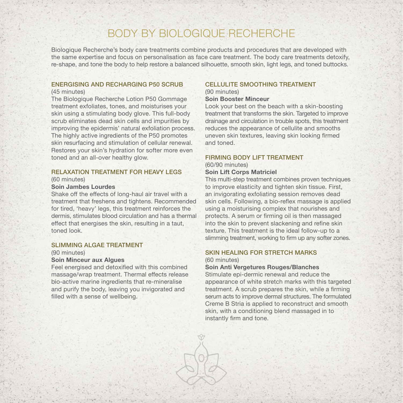# BODY BY BIOLOGIQUE RECHERCHE

Biologique Recherche's body care treatments combine products and procedures that are developed with the same expertise and focus on personalisation as face care treatment. The body care treatments detoxify, re-shape, and tone the body to help restore a balanced silhouette, smooth skin, light legs, and toned buttocks.

#### ENERGISING AND RECHARGING P50 SCRUB (45 minutes)

The Biologique Recherche Lotion P50 Gommage treatment exfoliates, tones, and moisturises your

skin using a stimulating body glove. This full-body scrub eliminates dead skin cells and impurities by improving the epidermis' natural exfoliation process. The highly active ingredients of the P50 promotes skin resurfacing and stimulation of cellular renewal. Restores your skin's hydration for softer more even toned and an all-over healthy glow.

#### RELAXATION TREATMENT FOR HEAVY LEGS

#### (60 minutes)

#### **Soin Jambes Lourdes**

Shake off the effects of long-haul air travel with a treatment that freshens and tightens. Recommended for tired, 'heavy' legs, this treatment reinforces the dermis, stimulates blood circulation and has a thermal effect that energises the skin, resulting in a taut, toned look.

#### SLIMMING ALGAE TREATMENT

#### (90 minutes)

#### **Soin Minceur aux Algues**

Feel energised and detoxified with this combined massage/wrap treatment. Thermal effects release bio-active marine ingredients that re-mineralise and purify the body, leaving you invigorated and filled with a sense of wellbeing.

#### CELLULITE SMOOTHING TREATMENT (90 minutes)

**Soin Booster Minceur**

Look your best on the beach with a skin-boosting treatment that transforms the skin. Targeted to improve drainage and circulation in trouble spots, this treatment reduces the appearance of cellulite and smooths uneven skin textures, leaving skin looking firmed and toned.

#### FIRMING BODY LIFT TREATMENT

(60/90 minutes)

#### **Soin Lift Corps Matriciel**

This multi-step treatment combines proven techniques to improve elasticity and tighten skin tissue. First, an invigorating exfoliating session removes dead skin cells. Following, a bio-reflex massage is applied using a moisturising complex that nourishes and protects. A serum or firming oil is then massaged into the skin to prevent slackening and refine skin texture. This treatment is the ideal follow-up to a slimming treatment, working to firm up any softer zones.

### SKIN HEALING FOR STRETCH MARKS

#### (60 minutes)

**Soin Anti Vergetures Rouges/Blanches**

Stimulate epi-dermic renewal and reduce the appearance of white stretch marks with this targeted treatment. A scrub prepares the skin, while a firming serum acts to improve dermal structures. The formulated Creme B Stria is applied to reconstruct and smooth skin, with a conditioning blend massaged in to instantly firm and tone.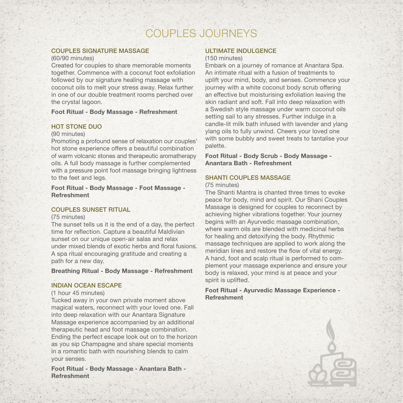# COUPLES JOURNEYS

#### COUPLES SIGNATURE MASSAGE

#### (60/90 minutes)

Created for couples to share memorable moments together. Commence with a coconut foot exfoliation followed by our signature healing massage with coconut oils to melt your stress away. Relax further in one of our double treatment rooms perched over the crystal lagoon.

#### **Foot Ritual - Body Massage - Refreshment**

#### HOT STONE DUO

#### (90 minutes)

Promoting a profound sense of relaxation our couples' hot stone experience offers a beautiful combination of warm volcanic stones and therapeutic aromatherapy oils. A full body massage is further complemented with a pressure point foot massage bringing lightness to the feet and legs.

#### **Foot Ritual - Body Massage - Foot Massage - Refreshment**

#### COUPLES SUNSET RITUAL

#### (75 minutes)

The sunset tells us it is the end of a day, the perfect time for reflection. Capture a beautiful Maldivian sunset on our unique open-air salas and relax under mixed blends of exotic herbs and floral fusions. A spa ritual encouraging gratitude and creating a path for a new day.

#### **Breathing Ritual - Body Massage - Refreshment**

#### INDIAN OCEAN ESCAPE

#### (1 hour 45 minutes)

Tucked away in your own private moment above magical waters, reconnect with your loved one. Fall into deep relaxation with our Anantara Signature Massage experience accompanied by an additional therapeutic head and foot massage combination. Ending the perfect escape look out on to the horizon as you sip Champagne and share special moments in a romantic bath with nourishing blends to calm your senses.

**Foot Ritual - Body Massage - Anantara Bath - Refreshment**

#### ULTIMATE INDULGENCE

#### (150 minutes)

Embark on a journey of romance at Anantara Spa. An intimate ritual with a fusion of treatments to uplift your mind, body, and senses. Commence your journey with a white coconut body scrub offering an effective but moisturising exfoliation leaving the skin radiant and soft. Fall into deep relaxation with a Swedish style massage under warm coconut oils setting sail to any stresses. Further indulge in a candle-lit milk bath infused with lavender and ylang ylang oils to fully unwind. Cheers your loved one with some bubbly and sweet treats to tantalise your palette.

**Foot Ritual - Body Scrub - Body Massage - Anantara Bath - Refreshment**

#### SHANTI COUPLES MASSAGE

(75 minutes)

The Shanti Mantra is chanted three times to evoke peace for body, mind and spirit. Our Shani Couples Massage is designed for couples to reconnect by achieving higher vibrations together. Your journey begins with an Ayurvedic massage combination, where warm oils are blended with medicinal herbs for healing and detoxifying the body. Rhythmic massage techniques are applied to work along the meridian lines and restore the flow of vital energy. A hand, foot and scalp ritual is performed to complement your massage experience and ensure your body is relaxed, your mind is at peace and your spirit is uplifted.

**Foot Ritual - Ayurvedic Massage Experience - Refreshment**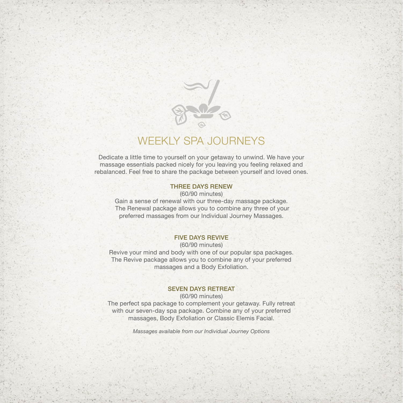

# WEEKLY SPA JOURNEYS

Dedicate a little time to yourself on your getaway to unwind. We have your massage essentials packed nicely for you leaving you feeling relaxed and rebalanced. Feel free to share the package between yourself and loved ones.

#### THREE DAYS RENEW

(60/90 minutes)

Gain a sense of renewal with our three-day massage package. The Renewal package allows you to combine any three of your preferred massages from our Individual Journey Massages.

#### FIVE DAYS REVIVE

(60/90 minutes) Revive your mind and body with one of our popular spa packages. The Revive package allows you to combine any of your preferred massages and a Body Exfoliation.

#### SEVEN DAYS RETREAT

(60/90 minutes) The perfect spa package to complement your getaway. Fully retreat with our seven-day spa package. Combine any of your preferred massages, Body Exfoliation or Classic Elemis Facial.

*Massages available from our Individual Journey Options*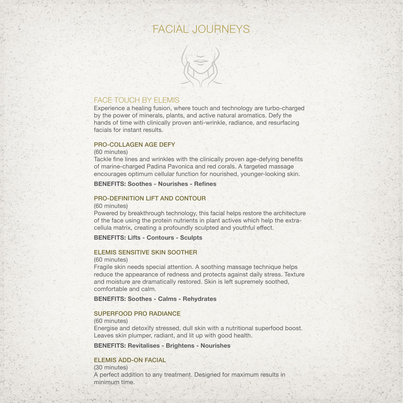# FACIAL JOURNEYS



### FACE TOUCH BY FLEMIS

Experience a healing fusion, where touch and technology are turbo-charged by the power of minerals, plants, and active natural aromatics. Defy the hands of time with clinically proven anti-wrinkle, radiance, and resurfacing facials for instant results.

#### PRO-COLLAGEN AGE DEFY

#### (60 minutes)

Tackle fine lines and wrinkles with the clinically proven age-defying benefits of marine-charged Padina Pavonica and red corals. A targeted massage encourages optimum cellular function for nourished, younger-looking skin.

#### **BENEFITS: Soothes - Nourishes - Refines**

#### PRO-DEFINITION LIFT AND CONTOUR

#### (60 minutes)

Powered by breakthrough technology, this facial helps restore the architecture of the face using the protein nutrients in plant actives which help the extracellula matrix, creating a profoundly sculpted and youthful effect.

#### **BENEFITS: Lifts - Contours - Sculpts**

#### ELEMIS SENSITIVE SKIN SOOTHER

#### (60 minutes)

Fragile skin needs special attention. A soothing massage technique helps reduce the appearance of redness and protects against daily stress. Texture and moisture are dramatically restored. Skin is left supremely soothed, comfortable and calm.

**BENEFITS: Soothes - Calms - Rehydrates**

#### SUPERFOOD PRO RADIANCE

#### (60 minutes)

Energise and detoxify stressed, dull skin with a nutritional superfood boost. Leaves skin plumper, radiant, and lit up with good health.

**BENEFITS: Revitalises - Brightens - Nourishes**

#### ELEMIS ADD-ON FACIAL

(30 minutes) A perfect addition to any treatment. Designed for maximum results in minimum time.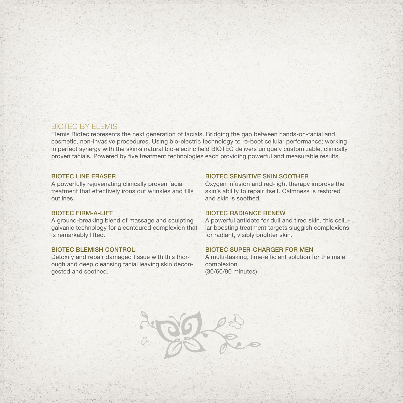### BIOTEC BY ELEMIS

Elemis Biotec represents the next generation of facials. Bridging the gap between hands-on-facial and cosmetic, non-invasive procedures. Using bio-electric technology to re-boot cellular performance; working in perfect synergy with the skin›s natural bio-electric field BIOTEC delivers uniquely customizable, clinically proven facials. Powered by five treatment technologies each providing powerful and measurable results.

HOOKS

#### BIOTEC LINE ERASER

A powerfully rejuvenating clinically proven facial treatment that effectively irons out wrinkles and fills outlines.

#### BIOTEC FIRM-A-LIFT

A ground-breaking blend of massage and sculpting galvanic technology for a contoured complexion that is remarkably lifted.

#### BIOTEC BLEMISH CONTROL

Detoxify and repair damaged tissue with this thorough and deep cleansing facial leaving skin decongested and soothed.

#### BIOTEC SENSITIVE SKIN SOOTHER

Oxygen infusion and red-light therapy improve the skin's ability to repair itself. Calmness is restored and skin is soothed.

#### BIOTEC RADIANCE RENEW

A powerful antidote for dull and tired skin, this cellular boosting treatment targets sluggish complexions for radiant, visibly brighter skin.

#### BIOTEC SUPER-CHARGER FOR MEN

A multi-tasking, time-efficient solution for the male complexion. (30/60/90 minutes)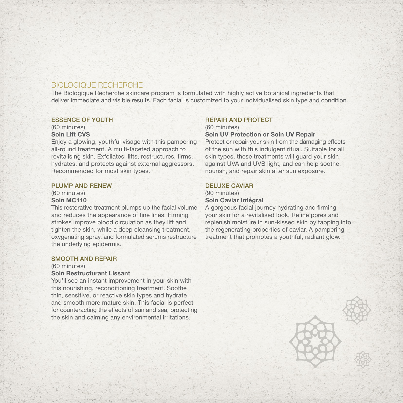### BIOLOGIQUE RECHERCHE

The Biologique Recherche skincare program is formulated with highly active botanical ingredients that deliver immediate and visible results. Each facial is customized to your individualised skin type and condition.

#### ESSENCE OF YOUTH

(60 minutes) **Soin Lift CVS**

Enjoy a glowing, youthful visage with this pampering all-round treatment. A multi-faceted approach to revitalising skin. Exfoliates, lifts, restructures, firms, hydrates, and protects against external aggressors. Recommended for most skin types.

#### PLUMP AND RENEW

(60 minutes) **Soin MC110**

This restorative treatment plumps up the facial volume and reduces the appearance of fine lines. Firming strokes improve blood circulation as they lift and tighten the skin, while a deep cleansing treatment, oxygenating spray, and formulated serums restructure the underlying epidermis.

#### SMOOTH AND REPAIR

#### (60 minutes)

#### **Soin Restructurant Lissant**

You'll see an instant improvement in your skin with this nourishing, reconditioning treatment. Soothe thin, sensitive, or reactive skin types and hydrate and smooth more mature skin. This facial is perfect for counteracting the effects of sun and sea, protecting the skin and calming any environmental irritations.

### REPAIR AND PROTECT

(60 minutes) **Soin UV Protection or Soin UV Repair**

Protect or repair your skin from the damaging effects of the sun with this indulgent ritual. Suitable for all skin types, these treatments will guard your skin against UVA and UVB light, and can help soothe, nourish, and repair skin after sun exposure.

#### DELUXE CAVIAR

#### (90 minutes) **Soin Caviar Intégral**

A gorgeous facial journey hydrating and firming your skin for a revitalised look. Refine pores and replenish moisture in sun-kissed skin by tapping into the regenerating properties of caviar. A pampering treatment that promotes a youthful, radiant glow.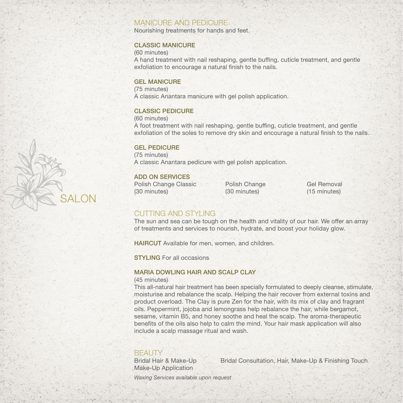### MANICURE AND PEDICURE

Nourishing treatments for hands and feet.

#### CLASSIC MANICURE

(60 minutes)

A hand treatment with nail reshaping, gentle buffing, cuticle treatment, and gentle exfoliation to encourage a natural finish to the nails.

#### GEL MANICURE

(75 minutes) A classic Anantara manicure with gel polish application.

#### CLASSIC PEDICURE

(60 minutes)

A foot treatment with nail reshaping, gentle buffing, cuticle treatment, and gentle exfoliation of the soles to remove dry skin and encourage a natural finish to the nails.

### GEL PEDICURE

(75 minutes) A classic Anantara pedicure with gel polish application.

#### ADD ON SERVICES

SALON

Polish Change Classic Polish Change Gel Removal<br>
(30 minutes) (30 minutes) (15 minutes)

(15 minutes)

# CUTTING AND STYLING

The sun and sea can be tough on the health and vitality of our hair. We offer an array of treatments and services to nourish, hydrate, and boost your holiday glow.

HAIRCUT Available for men, women, and children.

STYLING For all occasions

#### MARIA DOWLING HAIR AND SCALP CLAY

#### (45 minutes)

This all-natural hair treatment has been specially formulated to deeply cleanse, stimulate, moisturise and rebalance the scalp. Helping the hair recover from external toxins and product overload. The Clay is pure Zen for the hair, with its mix of clay and fragrant oils. Peppermint, jojoba and lemongrass help rebalance the hair, while bergamot, sesame, vitamin B5, and honey soothe and heal the scalp. The aroma-therapeutic benefits of the oils also help to calm the mind. Your hair mask application will also include a scalp massage ritual and wash.

# **BEAUTY**

Make-Up Application

Bridal Hair & Make-Up Bridal Consultation, Hair, Make-Up & Finishing Touch

*Waxing Services available upon request*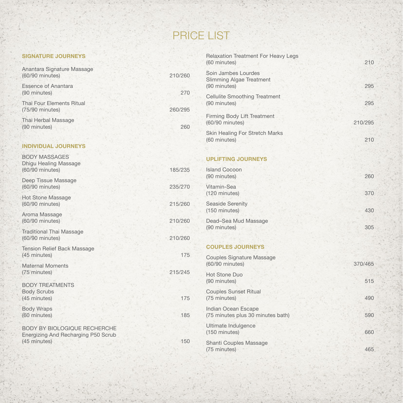# PRICE LIST

### **SIGNATURE JOURNEYS**

| Anantara Signature Massage<br>(60/90 minutes) | 210/260 |
|-----------------------------------------------|---------|
| <b>Essence of Anantara</b><br>(90 minutes)    | 270     |
| Thai Four Elements Ritual<br>(75/90 minutes)  | 260/295 |
| Thai Herbal Massage<br>(90 minutes)           | 260     |

## **INDIVIDUAL JOURNEYS**

| BODY MASSAGES<br><b>Dhigu Healing Massage</b><br>(60/90 minutes)                           | 185/235 |
|--------------------------------------------------------------------------------------------|---------|
| Deep Tissue Massage<br>(60/90 minutes)                                                     | 235/270 |
| <b>Hot Stone Massage</b><br>(60/90 minutes)                                                | 215/260 |
| Aroma Massage<br>(60/90 minutes)                                                           | 210/260 |
| <b>Traditional Thai Massage</b><br>(60/90 minutes)                                         | 210/260 |
| <b>Tension Relief Back Massage</b><br>(45 minutes)                                         | 175     |
| <b>Maternal Moments</b><br>(75 minutes)                                                    | 215/245 |
| <b>BODY TREATMENTS</b><br><b>Body Scrubs</b><br>(45 minutes)                               | 175     |
| <b>Body Wraps</b><br>(60 minutes)                                                          | 185     |
| <b>BODY BY BIOLOGIQUE RECHERCHE</b><br>Energizing And Recharging P50 Scrub<br>(45 minutes) | 150     |
|                                                                                            |         |

| <b>Relaxation Treatment For Heavy Legs</b><br>(60 minutes)             | 210     |
|------------------------------------------------------------------------|---------|
| Soin Jambes Lourdes<br><b>Slimming Algae Treatment</b><br>(90 minutes) | 295     |
| <b>Cellulite Smoothing Treatment</b><br>(90 minutes)                   | 295     |
| <b>Firming Body Lift Treatment</b><br>(60/90 minutes)                  | 210/295 |
| <b>Skin Healing For Stretch Marks</b><br>(60 minutes)                  | 210     |
|                                                                        |         |
| <b>UPLIFTING JOURNEYS</b>                                              |         |
| <b>Island Cocoon</b><br>(90 minutes)                                   | 260     |
| Vitamin-Sea<br>(120 minutes)                                           | 370     |
| <b>Seaside Serenity</b><br>(150 minutes)                               | 430     |
| Dead-Sea Mud Massage<br>(90 minutes)                                   | 305     |
|                                                                        |         |
| <b>COUPLES JOURNEYS</b>                                                |         |
| <b>Couples Signature Massage</b><br>(60/90 minutes)                    | 370/465 |
| <b>Hot Stone Duo</b><br>(90 minutes)                                   | 515     |
| <b>Couples Sunset Ritual</b><br>(75 minutes)                           | 490     |
| Indian Ocean Escape<br>(75 minutes plus 30 minutes bath)               | 590     |
| Ultimate Indulgence<br>(150 minutes)                                   | 660     |

Shanti Couples Massage (75 minutes) 465